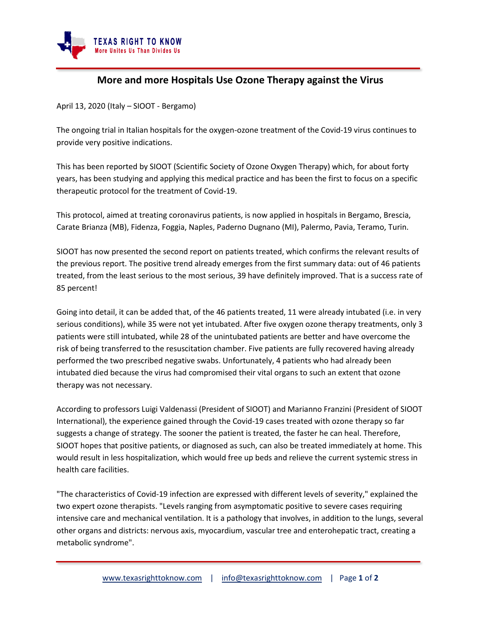

## **More and more Hospitals Use Ozone Therapy against the Virus**

April 13, 2020 (Italy – SIOOT - Bergamo)

The ongoing trial in Italian hospitals for the oxygen-ozone treatment of the Covid-19 virus continues to provide very positive indications.

This has been reported by SIOOT (Scientific Society of Ozone Oxygen Therapy) which, for about forty years, has been studying and applying this medical practice and has been the first to focus on a specific therapeutic protocol for the treatment of Covid-19.

This protocol, aimed at treating coronavirus patients, is now applied in hospitals in Bergamo, Brescia, Carate Brianza (MB), Fidenza, Foggia, Naples, Paderno Dugnano (MI), Palermo, Pavia, Teramo, Turin.

SIOOT has now presented the second report on patients treated, which confirms the relevant results of the previous report. The positive trend already emerges from the first summary data: out of 46 patients treated, from the least serious to the most serious, 39 have definitely improved. That is a success rate of 85 percent!

Going into detail, it can be added that, of the 46 patients treated, 11 were already intubated (i.e. in very serious conditions), while 35 were not yet intubated. After five oxygen ozone therapy treatments, only 3 patients were still intubated, while 28 of the unintubated patients are better and have overcome the risk of being transferred to the resuscitation chamber. Five patients are fully recovered having already performed the two prescribed negative swabs. Unfortunately, 4 patients who had already been intubated died because the virus had compromised their vital organs to such an extent that ozone therapy was not necessary.

According to professors Luigi Valdenassi (President of SIOOT) and Marianno Franzini (President of SIOOT International), the experience gained through the Covid-19 cases treated with ozone therapy so far suggests a change of strategy. The sooner the patient is treated, the faster he can heal. Therefore, SIOOT hopes that positive patients, or diagnosed as such, can also be treated immediately at home. This would result in less hospitalization, which would free up beds and relieve the current systemic stress in health care facilities.

"The characteristics of Covid-19 infection are expressed with different levels of severity," explained the two expert ozone therapists. "Levels ranging from asymptomatic positive to severe cases requiring intensive care and mechanical ventilation. It is a pathology that involves, in addition to the lungs, several other organs and districts: nervous axis, myocardium, vascular tree and enterohepatic tract, creating a metabolic syndrome".